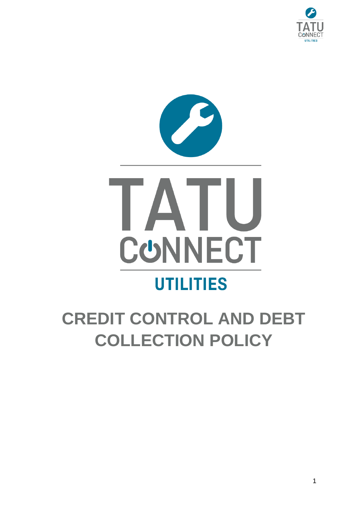



# **CREDIT CONTROL AND DEBT COLLECTION POLICY**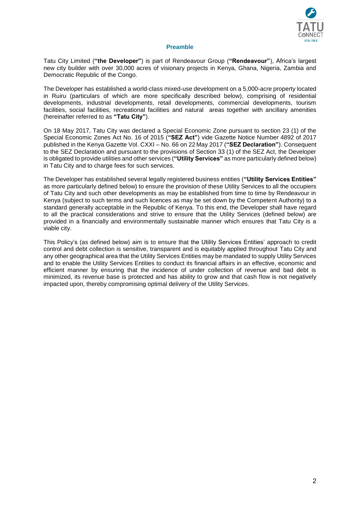

## **Preamble**

<span id="page-1-0"></span>Tatu City Limited (**"the Developer"**) is part of Rendeavour Group (**"Rendeavour"**), Africa's largest new city builder with over 30,000 acres of visionary projects in Kenya, Ghana, Nigeria, Zambia and Democratic Republic of the Congo.

The Developer has established a world-class mixed-use development on a 5,000-acre property located in Ruiru (particulars of which are more specifically described below), comprising of residential developments, industrial developments, retail developments, commercial developments, tourism facilities, social facilities, recreational facilities and natural areas together with ancillary amenities (hereinafter referred to as **"Tatu City"**).

On 18 May 2017, Tatu City was declared a Special Economic Zone pursuant to section 23 (1) of the Special Economic Zones Act No. 16 of 2015 (**"SEZ Act"**) vide Gazette Notice Number 4892 of 2017 published in the Kenya Gazette Vol. CXXI – No. 66 on 22 May 2017 (**"SEZ Declaration"**). Consequent to the SEZ Declaration and pursuant to the provisions of Section 33 (1) of the SEZ Act, the Developer is obligated to provide utilities and other services (**"Utility Services"** as more particularly defined below) in Tatu City and to charge fees for such services.

The Developer has established several legally registered business entities (**"Utility Services Entities"** as more particularly defined below) to ensure the provision of these Utility Services to all the occupiers of Tatu City and such other developments as may be established from time to time by Rendeavour in Kenya (subject to such terms and such licences as may be set down by the Competent Authority) to a standard generally acceptable in the Republic of Kenya. To this end, the Developer shall have regard to all the practical considerations and strive to ensure that the Utility Services (defined below) are provided in a financially and environmentally sustainable manner which ensures that Tatu City is a viable city.

This Policy's (as defined below) aim is to ensure that the Utility Services Entities' approach to credit control and debt collection is sensitive, transparent and is equitably applied throughout Tatu City and any other geographical area that the Utility Services Entities may be mandated to supply Utility Services and to enable the Utility Services Entities to conduct its financial affairs in an effective, economic and efficient manner by ensuring that the incidence of under collection of revenue and bad debt is minimized, its revenue base is protected and has ability to grow and that cash flow is not negatively impacted upon, thereby compromising optimal delivery of the Utility Services.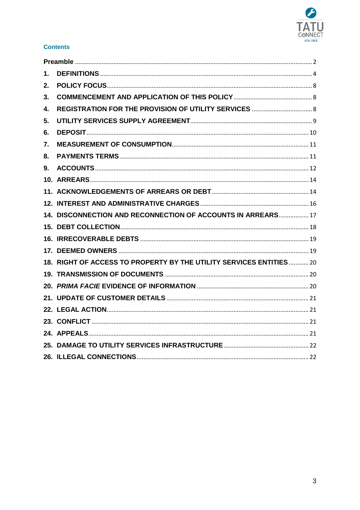

# **Contents**

| 1. |                                                                     |  |
|----|---------------------------------------------------------------------|--|
| 2. |                                                                     |  |
| 3. |                                                                     |  |
| 4. |                                                                     |  |
| 5. |                                                                     |  |
| 6. |                                                                     |  |
| 7. |                                                                     |  |
| 8. |                                                                     |  |
| 9. |                                                                     |  |
|    |                                                                     |  |
|    |                                                                     |  |
|    |                                                                     |  |
|    | 14. DISCONNECTION AND RECONNECTION OF ACCOUNTS IN ARREARS 17        |  |
|    |                                                                     |  |
|    |                                                                     |  |
|    |                                                                     |  |
|    | 18. RIGHT OF ACCESS TO PROPERTY BY THE UTILITY SERVICES ENTITIES 20 |  |
|    |                                                                     |  |
|    |                                                                     |  |
|    |                                                                     |  |
|    |                                                                     |  |
|    |                                                                     |  |
|    |                                                                     |  |
|    |                                                                     |  |
|    |                                                                     |  |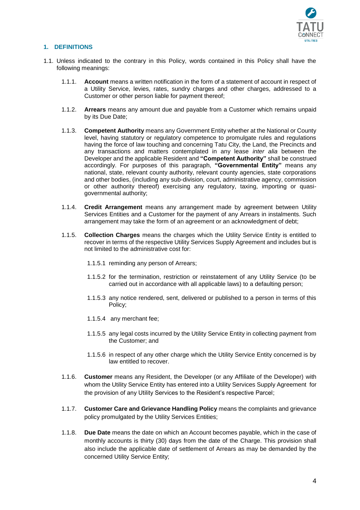

# <span id="page-3-0"></span>**1. DEFINITIONS**

- 1.1. Unless indicated to the contrary in this Policy, words contained in this Policy shall have the following meanings:
	- 1.1.1. **Account** means a written notification in the form of a statement of account in respect of a Utility Service, levies, rates, sundry charges and other charges, addressed to a Customer or other person liable for payment thereof;
	- 1.1.2. **Arrears** means any amount due and payable from a Customer which remains unpaid by its Due Date;
	- 1.1.3. **Competent Authority** means any Government Entity whether at the National or County level, having statutory or regulatory competence to promulgate rules and regulations having the force of law touching and concerning Tatu City, the Land, the Precincts and any transactions and matters contemplated in any lease *inter alia* between the Developer and the applicable Resident and **"Competent Authority"** shall be construed accordingly. For purposes of this paragraph, **"Governmental Entity"** means any national, state, relevant county authority, relevant county agencies, state corporations and other bodies, (including any sub-division, court, administrative agency, commission or other authority thereof) exercising any regulatory, taxing, importing or quasigovernmental authority;
	- 1.1.4. **Credit Arrangement** means any arrangement made by agreement between Utility Services Entities and a Customer for the payment of any Arrears in instalments. Such arrangement may take the form of an agreement or an acknowledgment of debt;
	- 1.1.5. **Collection Charges** means the charges which the Utility Service Entity is entitled to recover in terms of the respective Utility Services Supply Agreement and includes but is not limited to the administrative cost for:
		- 1.1.5.1 reminding any person of Arrears;
		- 1.1.5.2 for the termination, restriction or reinstatement of any Utility Service (to be carried out in accordance with all applicable laws) to a defaulting person;
		- 1.1.5.3 any notice rendered, sent, delivered or published to a person in terms of this Policy;
		- 1.1.5.4 any merchant fee;
		- 1.1.5.5 any legal costs incurred by the Utility Service Entity in collecting payment from the Customer; and
		- 1.1.5.6 in respect of any other charge which the Utility Service Entity concerned is by law entitled to recover.
	- 1.1.6. **Customer** means any Resident, the Developer (or any Affiliate of the Developer) with whom the Utility Service Entity has entered into a Utility Services Supply Agreement for the provision of any Utility Services to the Resident's respective Parcel;
	- 1.1.7. **Customer Care and Grievance Handling Policy** means the complaints and grievance policy promulgated by the Utility Services Entities;
	- 1.1.8. **Due Date** means the date on which an Account becomes payable, which in the case of monthly accounts is thirty (30) days from the date of the Charge. This provision shall also include the applicable date of settlement of Arrears as may be demanded by the concerned Utility Service Entity;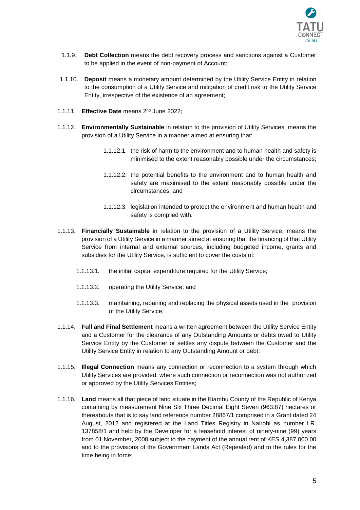

- 1.1.9. **Debt Collection** means the debt recovery process and sanctions against a Customer to be applied in the event of non-payment of Account;
- 1.1.10. **Deposit** means a monetary amount determined by the Utility Service Entity in relation to the consumption of a Utility Service and mitigation of credit risk to the Utility Service Entity, irrespective of the existence of an agreement;
- 1.1.11. **Effective Date** means 2<sup>nd</sup> June 2022;
- 1.1.12. **Environmentally Sustainable** in relation to the provision of Utility Services, means the provision of a Utility Service in a manner aimed at ensuring that:
	- 1.1.12.1. the risk of harm to the environment and to human health and safety is minimised to the extent reasonably possible under the circumstances;
	- 1.1.12.2. the potential benefits to the environment and to human health and safety are maximised to the extent reasonably possible under the circumstances; and
	- 1.1.12.3. legislation intended to protect the environment and human health and safety is complied with.
- 1.1.13. **Financially Sustainable** in relation to the provision of a Utility Service, means the provision of a Utility Service in a manner aimed at ensuring that the financing of that Utility Service from internal and external sources, including budgeted income, grants and subsidies for the Utility Service, is sufficient to cover the costs of:
	- 1.1.13.1. the initial capital expenditure required for the Utility Service;
	- 1.1.13.2. operating the Utility Service; and
	- 1.1.13.3. maintaining, repairing and replacing the physical assets used in the provision of the Utility Service;
- 1.1.14. **Full and Final Settlement** means a written agreement between the Utility Service Entity and a Customer for the clearance of any Outstanding Amounts or debts owed to Utility Service Entity by the Customer or settles any dispute between the Customer and the Utility Service Entity in relation to any Outstanding Amount or debt;
- 1.1.15. **Illegal Connection** means any connection or reconnection to a system through which Utility Services are provided, where such connection or reconnection was not authorized or approved by the Utility Services Entities;
- 1.1.16. **Land** means all that piece of land situate in the Kiambu County of the Republic of Kenya containing by measurement Nine Six Three Decimal Eight Seven (963.87) hectares or thereabouts that is to say land reference number 28867/1 comprised in a Grant dated 24 August, 2012 and registered at the Land Titles Registry in Nairobi as number I.R. 137858/1 and held by the Developer for a leasehold interest of ninety-nine (99) years from 01 November, 2008 subject to the payment of the annual rent of KES 4,387,000.00 and to the provisions of the Government Lands Act (Repealed) and to the rules for the time being in force;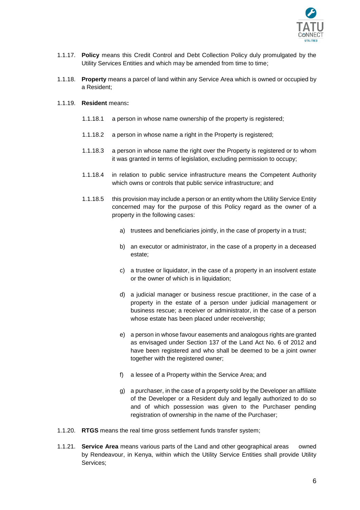

- 1.1.17. **Policy** means this Credit Control and Debt Collection Policy duly promulgated by the Utility Services Entities and which may be amended from time to time;
- 1.1.18. **Property** means a parcel of land within any Service Area which is owned or occupied by a Resident;
- <span id="page-5-0"></span>1.1.19. **Resident** means**:**
	- 1.1.18.1 a person in whose name ownership of the property is registered;
	- 1.1.18.2 a person in whose name a right in the Property is registered;
	- 1.1.18.3 a person in whose name the right over the Property is registered or to whom it was granted in terms of legislation, excluding permission to occupy;
	- 1.1.18.4 in relation to public service infrastructure means the Competent Authority which owns or controls that public service infrastructure; and
	- 1.1.18.5 this provision may include a person or an entity whom the Utility Service Entity concerned may for the purpose of this Policy regard as the owner of a property in the following cases:
		- a) trustees and beneficiaries jointly, in the case of property in a trust;
		- b) an executor or administrator, in the case of a property in a deceased estate;
		- c) a trustee or liquidator, in the case of a property in an insolvent estate or the owner of which is in liquidation;
		- d) a judicial manager or business rescue practitioner, in the case of a property in the estate of a person under judicial management or business rescue; a receiver or administrator, in the case of a person whose estate has been placed under receivership;
		- e) a person in whose favour easements and analogous rights are granted as envisaged under Section 137 of the Land Act No. 6 of 2012 and have been registered and who shall be deemed to be a joint owner together with the registered owner:
		- f) a lessee of a Property within the Service Area; and
		- g) a purchaser, in the case of a property sold by the Developer an affiliate of the Developer or a Resident duly and legally authorized to do so and of which possession was given to the Purchaser pending registration of ownership in the name of the Purchaser;
- 1.1.20. **RTGS** means the real time gross settlement funds transfer system;
- 1.1.21. **Service Area** means various parts of the Land and other geographical areas owned by Rendeavour, in Kenya, within which the Utility Service Entities shall provide Utility Services;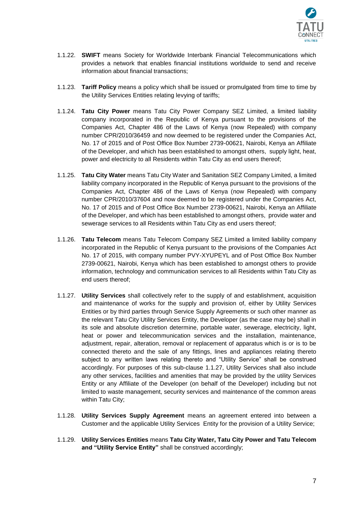

- 1.1.22. **SWIFT** means Society for Worldwide Interbank Financial Telecommunications which provides a network that enables financial institutions worldwide to send and receive information about financial transactions;
- 1.1.23. **Tariff Policy** means a policy which shall be issued or promulgated from time to time by the Utility Services Entities relating levying of tariffs;
- 1.1.24. **Tatu City Power** means Tatu City Power Company SEZ Limited, a limited liability company incorporated in the Republic of Kenya pursuant to the provisions of the Companies Act, Chapter 486 of the Laws of Kenya (now Repealed) with company number CPR/2010/36459 and now deemed to be registered under the Companies Act, No. 17 of 2015 and of Post Office Box Number 2739-00621, Nairobi, Kenya an Affiliate of the Developer, and which has been established to amongst others, supply light, heat, power and electricity to all Residents within Tatu City as end users thereof;
- 1.1.25. **Tatu City Water** means Tatu City Water and Sanitation SEZ Company Limited, a limited liability company incorporated in the Republic of Kenya pursuant to the provisions of the Companies Act, Chapter 486 of the Laws of Kenya (now Repealed) with company number CPR/2010/37604 and now deemed to be registered under the Companies Act, No. 17 of 2015 and of Post Office Box Number 2739-00621, Nairobi, Kenya an Affiliate of the Developer, and which has been established to amongst others, provide water and sewerage services to all Residents within Tatu City as end users thereof;
- 1.1.26. **Tatu Telecom** means Tatu Telecom Company SEZ Limited a limited liability company incorporated in the Republic of Kenya pursuant to the provisions of the Companies Act No. 17 of 2015, with company number PVY-XYUPEYL and of Post Office Box Number 2739-00621, Nairobi, Kenya which has been established to amongst others to provide information, technology and communication services to all Residents within Tatu City as end users thereof;
- <span id="page-6-0"></span>1.1.27. **Utility Services** shall collectively refer to the supply of and establishment, acquisition and maintenance of works for the supply and provision of, either by Utility Services Entities or by third parties through Service Supply Agreements or such other manner as the relevant Tatu City Utility Services Entity, the Developer (as the case may be) shall in its sole and absolute discretion determine, portable water, sewerage, electricity, light, heat or power and telecommunication services and the installation, maintenance, adjustment, repair, alteration, removal or replacement of apparatus which is or is to be connected thereto and the sale of any fittings, lines and appliances relating thereto subject to any written laws relating thereto and "Utility Service" shall be construed accordingly. For purposes of this sub-clause [1.1.27,](#page-6-0) Utility Services shall also include any other services, facilities and amenities that may be provided by the utility Services Entity or any Affiliate of the Developer (on behalf of the Developer) including but not limited to waste management, security services and maintenance of the common areas within Tatu City;
- 1.1.28. **Utility Services Supply Agreement** means an agreement entered into between a Customer and the applicable Utility Services Entity for the provision of a Utility Service;
- 1.1.29. **Utility Services Entities** means **Tatu City Water, Tatu City Power and Tatu Telecom and "Utility Service Entity"** shall be construed accordingly;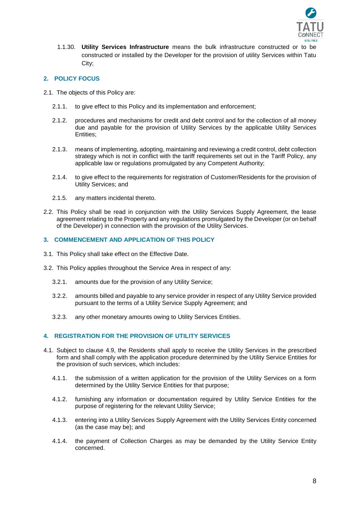

1.1.30. **Utility Services Infrastructure** means the bulk infrastructure constructed or to be constructed or installed by the Developer for the provision of utility Services within Tatu City;

# <span id="page-7-0"></span>**2. POLICY FOCUS**

- 2.1. The objects of this Policy are:
	- 2.1.1. to give effect to this Policy and its implementation and enforcement;
	- 2.1.2. procedures and mechanisms for credit and debt control and for the collection of all money due and payable for the provision of Utility Services by the applicable Utility Services Entities;
	- 2.1.3. means of implementing, adopting, maintaining and reviewing a credit control, debt collection strategy which is not in conflict with the tariff requirements set out in the Tariff Policy, any applicable law or regulations promulgated by any Competent Authority;
	- 2.1.4. to give effect to the requirements for registration of Customer/Residents for the provision of Utility Services; and
	- 2.1.5. any matters incidental thereto.
- 2.2. This Policy shall be read in conjunction with the Utility Services Supply Agreement, the lease agreement relating to the Property and any regulations promulgated by the Developer (or on behalf of the Developer) in connection with the provision of the Utility Services.

## <span id="page-7-1"></span>**3. COMMENCEMENT AND APPLICATION OF THIS POLICY**

- 3.1. This Policy shall take effect on the Effective Date.
- 3.2. This Policy applies throughout the Service Area in respect of any:
	- 3.2.1. amounts due for the provision of any Utility Service;
	- 3.2.2. amounts billed and payable to any service provider in respect of any Utility Service provided pursuant to the terms of a Utility Service Supply Agreement; and
	- 3.2.3. any other monetary amounts owing to Utility Services Entities.

## <span id="page-7-2"></span>**4. REGISTRATION FOR THE PROVISION OF UTILITY SERVICES**

- <span id="page-7-3"></span>4.1. Subject to clause [4.9,](#page-8-1) the Residents shall apply to receive the Utility Services in the prescribed form and shall comply with the application procedure determined by the Utility Service Entities for the provision of such services, which includes:
	- 4.1.1. the submission of a written application for the provision of the Utility Services on a form determined by the Utility Service Entities for that purpose;
	- 4.1.2. furnishing any information or documentation required by Utility Service Entities for the purpose of registering for the relevant Utility Service;
	- 4.1.3. entering into a Utility Services Supply Agreement with the Utility Services Entity concerned (as the case may be); and
	- 4.1.4. the payment of Collection Charges as may be demanded by the Utility Service Entity concerned.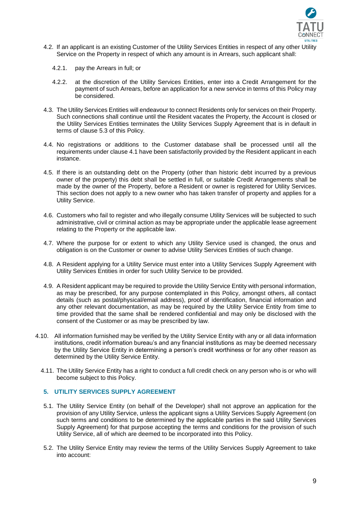

- 4.2. If an applicant is an existing Customer of the Utility Services Entities in respect of any other Utility Service on the Property in respect of which any amount is in Arrears, such applicant shall:
	- 4.2.1. pay the Arrears in full; or
	- 4.2.2. at the discretion of the Utility Services Entities, enter into a Credit Arrangement for the payment of such Arrears, before an application for a new service in terms of this Policy may be considered.
- 4.3. The Utility Services Entities will endeavour to connect Residents only for services on their Property. Such connections shall continue until the Resident vacates the Property, the Account is closed or the Utility Services Entities terminates the Utility Services Supply Agreement that is in default in terms of clause [5.3](#page-9-1) of this Policy.
- 4.4. No registrations or additions to the Customer database shall be processed until all the requirements under clause [4.1](#page-7-3) have been satisfactorily provided by the Resident applicant in each instance.
- 4.5. If there is an outstanding debt on the Property (other than historic debt incurred by a previous owner of the property) this debt shall be settled in full, or suitable Credit Arrangements shall be made by the owner of the Property, before a Resident or owner is registered for Utility Services. This section does not apply to a new owner who has taken transfer of property and applies for a Utility Service.
- 4.6. Customers who fail to register and who illegally consume Utility Services will be subjected to such administrative, civil or criminal action as may be appropriate under the applicable lease agreement relating to the Property or the applicable law.
- 4.7. Where the purpose for or extent to which any Utility Service used is changed, the onus and obligation is on the Customer or owner to advise Utility Services Entities of such change.
- 4.8. A Resident applying for a Utility Service must enter into a Utility Services Supply Agreement with Utility Services Entities in order for such Utility Service to be provided.
- <span id="page-8-1"></span>4.9. A Resident applicant may be required to provide the Utility Service Entity with personal information, as may be prescribed, for any purpose contemplated in this Policy, amongst others, all contact details (such as postal/physical/email address), proof of identification, financial information and any other relevant documentation, as may be required by the Utility Service Entity from time to time provided that the same shall be rendered confidential and may only be disclosed with the consent of the Customer or as may be prescribed by law.
- 4.10. All information furnished may be verified by the Utility Service Entity with any or all data information institutions, credit information bureau's and any financial institutions as may be deemed necessary by the Utility Service Entity in determining a person's credit worthiness or for any other reason as determined by the Utility Service Entity.
	- 4.11. The Utility Service Entity has a right to conduct a full credit check on any person who is or who will become subject to this Policy.

# <span id="page-8-0"></span>**5. UTILITY SERVICES SUPPLY AGREEMENT**

- 5.1. The Utility Service Entity (on behalf of the Developer) shall not approve an application for the provision of any Utility Service, unless the applicant signs a Utility Services Supply Agreement (on such terms and conditions to be determined by the applicable parties in the said Utility Services Supply Agreement) for that purpose accepting the terms and conditions for the provision of such Utility Service, all of which are deemed to be incorporated into this Policy.
- 5.2. The Utility Service Entity may review the terms of the Utility Services Supply Agreement to take into account: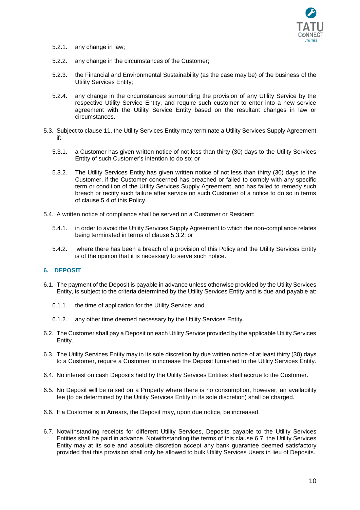

- 5.2.1. any change in law;
- 5.2.2. any change in the circumstances of the Customer;
- 5.2.3. the Financial and Environmental Sustainability (as the case may be) of the business of the Utility Services Entity;
- 5.2.4. any change in the circumstances surrounding the provision of any Utility Service by the respective Utility Service Entity, and require such customer to enter into a new service agreement with the Utility Service Entity based on the resultant changes in law or circumstances.
- <span id="page-9-1"></span>5.3. Subject to clause [11,](#page-13-2) the Utility Services Entity may terminate a Utility Services Supply Agreement if:
	- 5.3.1. a Customer has given written notice of not less than thirty (30) days to the Utility Services Entity of such Customer's intention to do so; or
	- 5.3.2. The Utility Services Entity has given written notice of not less than thirty (30) days to the Customer, if the Customer concerned has breached or failed to comply with any specific term or condition of the Utility Services Supply Agreement, and has failed to remedy such breach or rectify such failure after service on such Customer of a notice to do so in terms of clause [5.4](#page-9-2) of this Policy.
- <span id="page-9-3"></span><span id="page-9-2"></span>5.4. A written notice of compliance shall be served on a Customer or Resident:
	- 5.4.1. in order to avoid the Utility Services Supply Agreement to which the non-compliance relates being terminated in terms of clause [5.3.2;](#page-9-3) or
	- 5.4.2. where there has been a breach of a provision of this Policy and the Utility Services Entity is of the opinion that it is necessary to serve such notice.

## <span id="page-9-0"></span>**6. DEPOSIT**

- 6.1. The payment of the Deposit is payable in advance unless otherwise provided by the Utility Services Entity, is subject to the criteria determined by the Utility Services Entity and is due and payable at:
	- 6.1.1. the time of application for the Utility Service; and
	- 6.1.2. any other time deemed necessary by the Utility Services Entity.
- 6.2. The Customer shall pay a Deposit on each Utility Service provided by the applicable Utility Services Entity.
- 6.3. The Utility Services Entity may in its sole discretion by due written notice of at least thirty (30) days to a Customer, require a Customer to increase the Deposit furnished to the Utility Services Entity.
- 6.4. No interest on cash Deposits held by the Utility Services Entities shall accrue to the Customer.
- 6.5. No Deposit will be raised on a Property where there is no consumption, however, an availability fee (to be determined by the Utility Services Entity in its sole discretion) shall be charged.
- 6.6. If a Customer is in Arrears, the Deposit may, upon due notice, be increased.
- <span id="page-9-4"></span>6.7. Notwithstanding receipts for different Utility Services, Deposits payable to the Utility Services Entities shall be paid in advance. Notwithstanding the terms of this clause [6.7,](#page-9-4) the Utility Services Entity may at its sole and absolute discretion accept any bank guarantee deemed satisfactory provided that this provision shall only be allowed to bulk Utility Services Users in lieu of Deposits.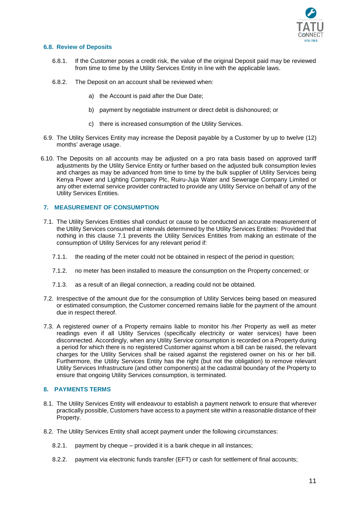

## **6.8. Review of Deposits**

- 6.8.1. If the Customer poses a credit risk, the value of the original Deposit paid may be reviewed from time to time by the Utility Services Entity in line with the applicable laws.
- 6.8.2. The Deposit on an account shall be reviewed when:
	- a) the Account is paid after the Due Date;
	- b) payment by negotiable instrument or direct debit is dishonoured; or
	- c) there is increased consumption of the Utility Services.
- 6.9. The Utility Services Entity may increase the Deposit payable by a Customer by up to twelve (12) months' average usage.
- 6.10. The Deposits on all accounts may be adjusted on a pro rata basis based on approved tariff adjustments by the Utility Service Entity or further based on the adjusted bulk consumption levies and charges as may be advanced from time to time by the bulk supplier of Utility Services being Kenya Power and Lighting Company Plc, Ruiru-Juja Water and Sewerage Company Limited or any other external service provider contracted to provide any Utility Service on behalf of any of the Utility Services Entities.

## <span id="page-10-0"></span>**7. MEASUREMENT OF CONSUMPTION**

- <span id="page-10-2"></span>7.1. The Utility Services Entities shall conduct or cause to be conducted an accurate measurement of the Utility Services consumed at intervals determined by the Utility Services Entities: Provided that nothing in this clause [7.1](#page-10-2) prevents the Utility Services Entities from making an estimate of the consumption of Utility Services for any relevant period if:
	- 7.1.1. the reading of the meter could not be obtained in respect of the period in question;
	- 7.1.2. no meter has been installed to measure the consumption on the Property concerned; or
	- 7.1.3. as a result of an illegal connection, a reading could not be obtained.
- 7.2. Irrespective of the amount due for the consumption of Utility Services being based on measured or estimated consumption, the Customer concerned remains liable for the payment of the amount due in respect thereof.
- 7.3. A registered owner of a Property remains liable to monitor his /her Property as well as meter readings even if all Utility Services (specifically electricity or water services) have been disconnected. Accordingly, when any Utility Service consumption is recorded on a Property during a period for which there is no registered Customer against whom a bill can be raised, the relevant charges for the Utility Services shall be raised against the registered owner on his or her bill. Furthermore, the Utility Services Entity has the right (but not the obligation) to remove relevant Utility Services Infrastructure (and other components) at the cadastral boundary of the Property to ensure that ongoing Utility Services consumption, is terminated.

## <span id="page-10-1"></span>**8. PAYMENTS TERMS**

- 8.1. The Utility Services Entity will endeavour to establish a payment network to ensure that wherever practically possible, Customers have access to a payment site within a reasonable distance of their Property.
- <span id="page-10-5"></span><span id="page-10-4"></span><span id="page-10-3"></span>8.2. The Utility Services Entity shall accept payment under the following circumstances:
	- 8.2.1. payment by cheque provided it is a bank cheque in all instances;
	- 8.2.2. payment via electronic funds transfer (EFT) or cash for settlement of final accounts;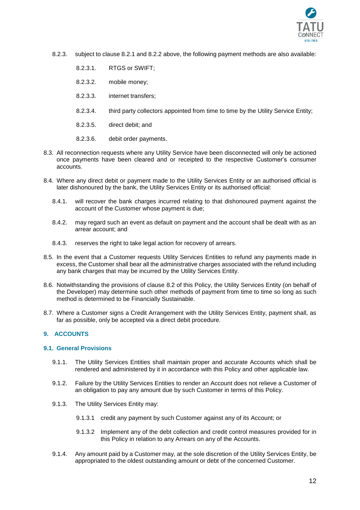

- 8.2.3. subject to clause [8.2.1](#page-10-3) and [8.2.2](#page-10-4) above, the following payment methods are also available:
	- 8.2.3.1. RTGS or SWIFT;
	- 8.2.3.2. mobile money;
	- 8.2.3.3. internet transfers;
	- 8.2.3.4. third party collectors appointed from time to time by the Utility Service Entity;
	- 8.2.3.5. direct debit; and
	- 8.2.3.6. debit order payments.
- 8.3. All reconnection requests where any Utility Service have been disconnected will only be actioned once payments have been cleared and or receipted to the respective Customer's consumer accounts.
- 8.4. Where any direct debit or payment made to the Utility Services Entity or an authorised official is later dishonoured by the bank, the Utility Services Entity or its authorised official:
	- 8.4.1. will recover the bank charges incurred relating to that dishonoured payment against the account of the Customer whose payment is due;
	- 8.4.2. may regard such an event as default on payment and the account shall be dealt with as an arrear account; and
	- 8.4.3. reserves the right to take legal action for recovery of arrears.
- 8.5. In the event that a Customer requests Utility Services Entities to refund any payments made in excess, the Customer shall bear all the administrative charges associated with the refund including any bank charges that may be incurred by the Utility Services Entity.
- 8.6. Notwithstanding the provisions of clause [8.2](#page-10-5) of this Policy, the Utility Services Entity (on behalf of the Developer) may determine such other methods of payment from time to time so long as such method is determined to be Financially Sustainable.
- 8.7. Where a Customer signs a Credit Arrangement with the Utility Services Entity, payment shall, as far as possible, only be accepted via a direct debit procedure.

# <span id="page-11-0"></span>**9. ACCOUNTS**

## **9.1. General Provisions**

- 9.1.1. The Utility Services Entities shall maintain proper and accurate Accounts which shall be rendered and administered by it in accordance with this Policy and other applicable law.
- 9.1.2. Failure by the Utility Services Entities to render an Account does not relieve a Customer of an obligation to pay any amount due by such Customer in terms of this Policy.
- 9.1.3. The Utility Services Entity may:
	- 9.1.3.1 credit any payment by such Customer against any of its Account; or
	- 9.1.3.2 Implement any of the debt collection and credit control measures provided for in this Policy in relation to any Arrears on any of the Accounts.
- 9.1.4. Any amount paid by a Customer may, at the sole discretion of the Utility Services Entity, be appropriated to the oldest outstanding amount or debt of the concerned Customer.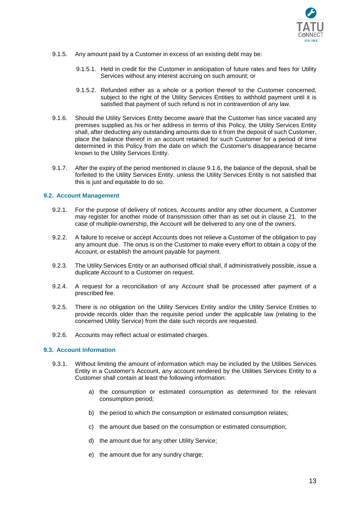

- 9.1.5. Any amount paid by a Customer in excess of an existing debt may be:
	- 9.1.5.1. Held in credit for the Customer in anticipation of future rates and fees for Utility Services without any interest accruing on such amount; or
	- 9.1.5.2. Refunded either as a whole or a portion thereof to the Customer concerned, subject to the right of the Utility Services Entities to withhold payment until it is satisfied that payment of such refund is not in contravention of any law.
- <span id="page-12-0"></span>9.1.6. Should the Utility Services Entity become aware that the Customer has since vacated any premises supplied as his or her address in terms of this Policy, the Utility Services Entity shall, after deducting any outstanding amounts due to it from the deposit of such Customer, place the balance thereof in an account retained for such Customer for a period of time determined in this Policy from the date on which the Customer's disappearance became known to the Utility Services Entity.
- 9.1.7. After the expiry of the period mentioned in clause [9.1.6,](#page-12-0) the balance of the deposit, shall be forfeited to the Utility Services Entity, unless the Utility Services Entity is not satisfied that this is just and equitable to do so.

## **9.2. Account Management**

- 9.2.1. For the purpose of delivery of notices, Accounts and/or any other document, a Customer may register for another mode of transmission other than as set out in clause [21.](#page-20-0) In the case of multiple-ownership, the Account will be delivered to any one of the owners.
- 9.2.2. A failure to receive or accept Accounts does not relieve a Customer of the obligation to pay any amount due. The onus is on the Customer to make every effort to obtain a copy of the Account, or establish the amount payable for payment.
- 9.2.3. The Utility Services Entity or an authorised official shall, if administratively possible, issue a duplicate Account to a Customer on request.
- 9.2.4. A request for a reconciliation of any Account shall be processed after payment of a prescribed fee.
- 9.2.5. There is no obligation on the Utility Services Entity and/or the Utility Service Entities to provide records older than the requisite period under the applicable law (relating to the concerned Utility Service) from the date such records are requested.
- 9.2.6. Accounts may reflect actual or estimated charges.

#### **9.3. Account Information**

- 9.3.1. Without limiting the amount of information which may be included by the Utilities Services Entity in a Customer's Account, any account rendered by the Utilities Services Entity to a Customer shall contain at least the following information:
	- a) the consumption or estimated consumption as determined for the relevant consumption period;
	- b) the period to which the consumption or estimated consumption relates;
	- c) the amount due based on the consumption or estimated consumption;
	- d) the amount due for any other Utility Service;
	- e) the amount due for any sundry charge;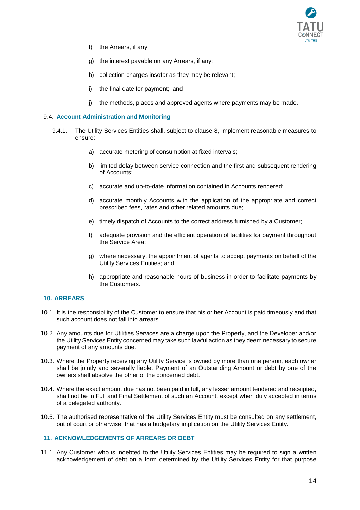

- f) the Arrears, if any;
- g) the interest payable on any Arrears, if any;
- h) collection charges insofar as they may be relevant;
- i) the final date for payment; and
- j) the methods, places and approved agents where payments may be made.

### 9.4. **Account Administration and Monitoring**

- 9.4.1. The Utility Services Entities shall, subject to clause [8,](#page-10-1) implement reasonable measures to ensure:
	- a) accurate metering of consumption at fixed intervals;
	- b) limited delay between service connection and the first and subsequent rendering of Accounts;
	- c) accurate and up-to-date information contained in Accounts rendered;
	- d) accurate monthly Accounts with the application of the appropriate and correct prescribed fees, rates and other related amounts due;
	- e) timely dispatch of Accounts to the correct address furnished by a Customer;
	- f) adequate provision and the efficient operation of facilities for payment throughout the Service Area;
	- g) where necessary, the appointment of agents to accept payments on behalf of the Utility Services Entities; and
	- h) appropriate and reasonable hours of business in order to facilitate payments by the Customers.

## <span id="page-13-0"></span>**10. ARREARS**

- 10.1. It is the responsibility of the Customer to ensure that his or her Account is paid timeously and that such account does not fall into arrears.
- 10.2. Any amounts due for Utilities Services are a charge upon the Property, and the Developer and/or the Utility Services Entity concerned may take such lawful action as they deem necessary to secure payment of any amounts due.
- 10.3. Where the Property receiving any Utility Service is owned by more than one person, each owner shall be jointly and severally liable. Payment of an Outstanding Amount or debt by one of the owners shall absolve the other of the concerned debt.
- 10.4. Where the exact amount due has not been paid in full, any lesser amount tendered and receipted, shall not be in Full and Final Settlement of such an Account, except when duly accepted in terms of a delegated authority.
- 10.5. The authorised representative of the Utility Services Entity must be consulted on any settlement, out of court or otherwise, that has a budgetary implication on the Utility Services Entity.

# <span id="page-13-2"></span><span id="page-13-1"></span>**11. ACKNOWLEDGEMENTS OF ARREARS OR DEBT**

<span id="page-13-3"></span>11.1. Any Customer who is indebted to the Utility Services Entities may be required to sign a written acknowledgement of debt on a form determined by the Utility Services Entity for that purpose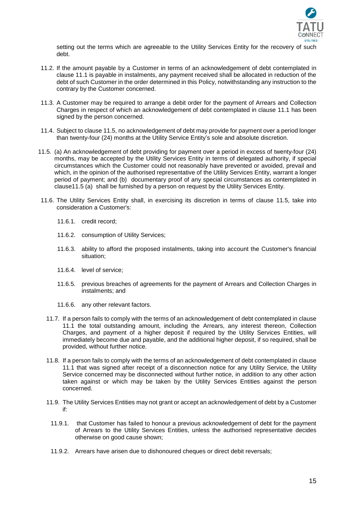

setting out the terms which are agreeable to the Utility Services Entity for the recovery of such debt.

- 11.2. If the amount payable by a Customer in terms of an acknowledgement of debt contemplated in clause [11.1](#page-13-3) is payable in instalments, any payment received shall be allocated in reduction of the debt of such Customer in the order determined in this Policy, notwithstanding any instruction to the contrary by the Customer concerned.
- 11.3. A Customer may be required to arrange a debit order for the payment of Arrears and Collection Charges in respect of which an acknowledgement of debt contemplated in clause [11.1](#page-13-3) has been signed by the person concerned.
- 11.4. Subject to clause [11.5,](#page-14-0) no acknowledgement of debt may provide for payment over a period longer than twenty-four (24) months at the Utility Service Entity's sole and absolute discretion.
- <span id="page-14-0"></span>11.5. (a) An acknowledgement of debt providing for payment over a period in excess of twenty-four (24) months, may be accepted by the Utility Services Entity in terms of delegated authority, if special circumstances which the Customer could not reasonably have prevented or avoided, prevail and which, in the opinion of the authorised representative of the Utility Services Entity, warrant a longer period of payment; and (b) documentary proof of any special circumstances as contemplated in claus[e11.5](#page-14-0) (a) shall be furnished by a person on request by the Utility Services Entity.
- 11.6. The Utility Services Entity shall, in exercising its discretion in terms of clause [11.5,](#page-14-0) take into consideration a Customer's:
	- 11.6.1. credit record;
	- 11.6.2. consumption of Utility Services;
	- 11.6.3. ability to afford the proposed instalments, taking into account the Customer's financial situation;
	- 11.6.4. level of service;
	- 11.6.5. previous breaches of agreements for the payment of Arrears and Collection Charges in instalments; and
	- 11.6.6. any other relevant factors.
	- 11.7. If a person fails to comply with the terms of an acknowledgement of debt contemplated in clause [11.1](#page-13-3) the total outstanding amount, including the Arrears, any interest thereon, Collection Charges, and payment of a higher deposit if required by the Utility Services Entities, will immediately become due and payable, and the additional higher deposit, if so required, shall be provided, without further notice.
	- 11.8. If a person fails to comply with the terms of an acknowledgement of debt contemplated in clause [11.1](#page-13-3) that was signed after receipt of a disconnection notice for any Utility Service, the Utility Service concerned may be disconnected without further notice, in addition to any other action taken against or which may be taken by the Utility Services Entities against the person concerned.
	- 11.9. The Utility Services Entities may not grant or accept an acknowledgement of debt by a Customer if:
		- 11.9.1. that Customer has failed to honour a previous acknowledgement of debt for the payment of Arrears to the Utility Services Entities, unless the authorised representative decides otherwise on good cause shown;
		- 11.9.2. Arrears have arisen due to dishonoured cheques or direct debit reversals;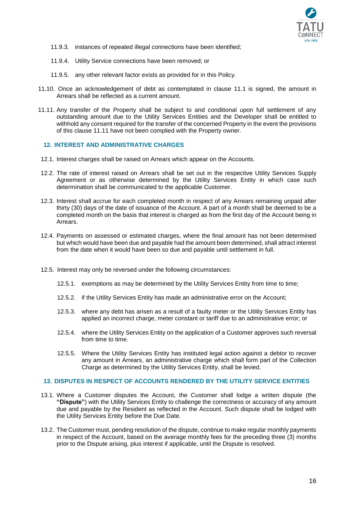

- 11.9.3. instances of repeated illegal connections have been identified;
- 11.9.4. Utility Service connections have been removed; or
- 11.9.5. any other relevant factor exists as provided for in this Policy.
- 11.10. Once an acknowledgement of debt as contemplated in clause [11.1](#page-13-3) is signed, the amount in Arrears shall be reflected as a current amount.
- <span id="page-15-1"></span>11.11. Any transfer of the Property shall be subject to and conditional upon full settlement of any outstanding amount due to the Utility Services Entities and the Developer shall be entitled to withhold any consent required for the transfer of the concerned Property in the event the provisions of this clause [11.11](#page-15-1) have not been complied with the Property owner.

### <span id="page-15-0"></span>**12. INTEREST AND ADMINISTRATIVE CHARGES**

- 12.1. Interest charges shall be raised on Arrears which appear on the Accounts.
- 12.2. The rate of interest raised on Arrears shall be set out in the respective Utility Services Supply Agreement or as otherwise determined by the Utility Services Entity in which case such determination shall be communicated to the applicable Customer.
- 12.3. Interest shall accrue for each completed month in respect of any Arrears remaining unpaid after thirty (30) days of the date of issuance of the Account. A part of a month shall be deemed to be a completed month on the basis that interest is charged as from the first day of the Account being in Arrears.
- 12.4. Payments on assessed or estimated charges, where the final amount has not been determined but which would have been due and payable had the amount been determined, shall attract interest from the date when it would have been so due and payable until settlement in full.
- 12.5. Interest may only be reversed under the following circumstances:
	- 12.5.1. exemptions as may be determined by the Utility Services Entity from time to time;
	- 12.5.2. if the Utility Services Entity has made an administrative error on the Account;
	- 12.5.3. where any debt has arisen as a result of a faulty meter or the Utility Services Entity has applied an incorrect charge, meter constant or tariff due to an administrative error; or
	- 12.5.4. where the Utility Services Entity on the application of a Customer approves such reversal from time to time.
	- 12.5.5. Where the Utility Services Entity has instituted legal action against a debtor to recover any amount in Arrears, an administrative charge which shall form part of the Collection Charge as determined by the Utility Services Entity, shall be levied.

#### <span id="page-15-3"></span>**13. DISPUTES IN RESPECT OF ACCOUNTS RENDERED BY THE UTILITY SERVICE ENTITIES**

- <span id="page-15-2"></span>13.1. Where a Customer disputes the Account, the Customer shall lodge a written dispute (the **"Dispute"**) with the Utility Services Entity to challenge the correctness or accuracy of any amount due and payable by the Resident as reflected in the Account. Such dispute shall be lodged with the Utility Services Entity before the Due Date.
- 13.2. The Customer must, pending resolution of the dispute, continue to make regular monthly payments in respect of the Account, based on the average monthly fees for the preceding three (3) months prior to the Dispute arising, plus interest if applicable, until the Dispute is resolved.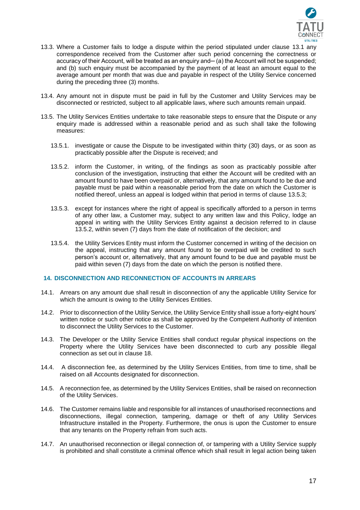

- 13.3. Where a Customer fails to lodge a dispute within the period stipulated under clause [13.1](#page-15-2) any correspondence received from the Customer after such period concerning the correctness or accuracy of their Account, will be treated as an enquiry and— (a) the Account will not be suspended; and (b) such enquiry must be accompanied by the payment of at least an amount equal to the average amount per month that was due and payable in respect of the Utility Service concerned during the preceding three (3) months.
- 13.4. Any amount not in dispute must be paid in full by the Customer and Utility Services may be disconnected or restricted, subject to all applicable laws, where such amounts remain unpaid.
- <span id="page-16-2"></span>13.5. The Utility Services Entities undertake to take reasonable steps to ensure that the Dispute or any enquiry made is addressed within a reasonable period and as such shall take the following measures:
	- 13.5.1. investigate or cause the Dispute to be investigated within thirty (30) days, or as soon as practicably possible after the Dispute is received; and
	- 13.5.2. inform the Customer, in writing, of the findings as soon as practicably possible after conclusion of the investigation, instructing that either the Account will be credited with an amount found to have been overpaid or, alternatively, that any amount found to be due and payable must be paid within a reasonable period from the date on which the Customer is notified thereof, unless an appeal is lodged within that period in terms of clause [13.5.3;](#page-16-1)
	- 13.5.3. except for instances where the right of appeal is specifically afforded to a person in terms of any other law, a Customer may, subject to any written law and this Policy, lodge an appeal in writing with the Utility Services Entity against a decision referred to in clause [13.5.2,](#page-16-2) within seven (7) days from the date of notification of the decision; and
	- 13.5.4. the Utility Services Entity must inform the Customer concerned in writing of the decision on the appeal, instructing that any amount found to be overpaid will be credited to such person's account or, alternatively, that any amount found to be due and payable must be paid within seven (7) days from the date on which the person is notified there.

## <span id="page-16-1"></span><span id="page-16-0"></span>**14. DISCONNECTION AND RECONNECTION OF ACCOUNTS IN ARREARS**

- 14.1. Arrears on any amount due shall result in disconnection of any the applicable Utility Service for which the amount is owing to the Utility Services Entities.
- 14.2. Prior to disconnection of the Utility Service, the Utility Service Entity shall issue a forty-eight hours' written notice or such other notice as shall be approved by the Competent Authority of intention to disconnect the Utility Services to the Customer.
- 14.3. The Developer or the Utility Service Entities shall conduct regular physical inspections on the Property where the Utility Services have been disconnected to curb any possible illegal connection as set out in clause [18.](#page-19-0)
- 14.4. A disconnection fee, as determined by the Utility Services Entities, from time to time, shall be raised on all Accounts designated for disconnection.
- 14.5. A reconnection fee, as determined by the Utility Services Entities, shall be raised on reconnection of the Utility Services.
- 14.6. The Customer remains liable and responsible for all instances of unauthorised reconnections and disconnections, illegal connection, tampering, damage or theft of any Utility Services Infrastructure installed in the Property. Furthermore, the onus is upon the Customer to ensure that any tenants on the Property refrain from such acts.
- 14.7. An unauthorised reconnection or illegal connection of, or tampering with a Utility Service supply is prohibited and shall constitute a criminal offence which shall result in legal action being taken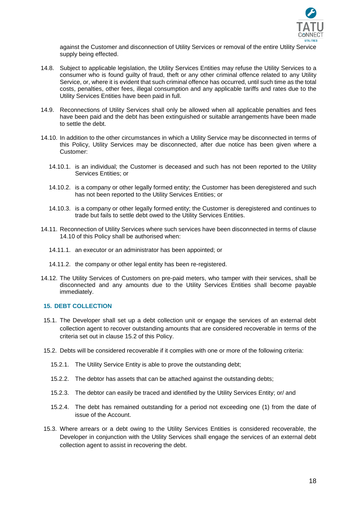

against the Customer and disconnection of Utility Services or removal of the entire Utility Service supply being effected.

- 14.8. Subject to applicable legislation, the Utility Services Entities may refuse the Utility Services to a consumer who is found guilty of fraud, theft or any other criminal offence related to any Utility Service, or, where it is evident that such criminal offence has occurred, until such time as the total costs, penalties, other fees, illegal consumption and any applicable tariffs and rates due to the Utility Services Entities have been paid in full.
- 14.9. Reconnections of Utility Services shall only be allowed when all applicable penalties and fees have been paid and the debt has been extinguished or suitable arrangements have been made to settle the debt.
- <span id="page-17-1"></span>14.10. In addition to the other circumstances in which a Utility Service may be disconnected in terms of this Policy, Utility Services may be disconnected, after due notice has been given where a Customer:
	- 14.10.1. is an individual; the Customer is deceased and such has not been reported to the Utility Services Entities; or
	- 14.10.2. is a company or other legally formed entity; the Customer has been deregistered and such has not been reported to the Utility Services Entities; or
	- 14.10.3. is a company or other legally formed entity; the Customer is deregistered and continues to trade but fails to settle debt owed to the Utility Services Entities.
- 14.11. Reconnection of Utility Services where such services have been disconnected in terms of clause [14.10](#page-17-1) of this Policy shall be authorised when:
	- 14.11.1. an executor or an administrator has been appointed; or
	- 14.11.2. the company or other legal entity has been re-registered.
- 14.12. The Utility Services of Customers on pre-paid meters, who tamper with their services, shall be disconnected and any amounts due to the Utility Services Entities shall become payable immediately.

#### <span id="page-17-0"></span>**15. DEBT COLLECTION**

- 15.1. The Developer shall set up a debt collection unit or engage the services of an external debt collection agent to recover outstanding amounts that are considered recoverable in terms of the criteria set out in clause 15.2 of this Policy.
- 15.2. Debts will be considered recoverable if it complies with one or more of the following criteria:
	- 15.2.1. The Utility Service Entity is able to prove the outstanding debt;
	- 15.2.2. The debtor has assets that can be attached against the outstanding debts;
	- 15.2.3. The debtor can easily be traced and identified by the Utility Services Entity; or/ and
	- 15.2.4. The debt has remained outstanding for a period not exceeding one (1) from the date of issue of the Account.
- 15.3. Where arrears or a debt owing to the Utility Services Entities is considered recoverable, the Developer in conjunction with the Utility Services shall engage the services of an external debt collection agent to assist in recovering the debt.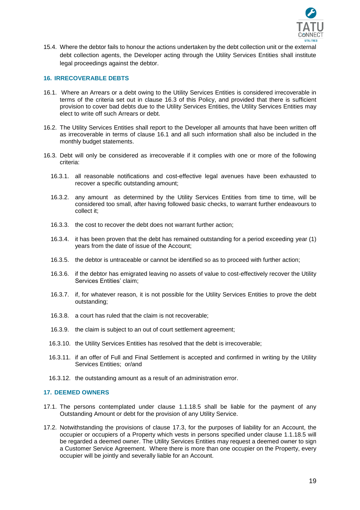

15.4. Where the debtor fails to honour the actions undertaken by the debt collection unit or the external debt collection agents, the Developer acting through the Utility Services Entities shall institute legal proceedings against the debtor.

#### <span id="page-18-0"></span>**16. IRRECOVERABLE DEBTS**

- <span id="page-18-3"></span>16.1. Where an Arrears or a debt owing to the Utility Services Entities is considered irrecoverable in terms of the criteria set out in clause [16.3](#page-18-2) of this Policy, and provided that there is sufficient provision to cover bad debts due to the Utility Services Entities, the Utility Services Entities may elect to write off such Arrears or debt.
- 16.2. The Utility Services Entities shall report to the Developer all amounts that have been written off as irrecoverable in terms of clause [16.1](#page-18-3) and all such information shall also be included in the monthly budget statements.
- <span id="page-18-2"></span>16.3. Debt will only be considered as irrecoverable if it complies with one or more of the following criteria:
	- 16.3.1. all reasonable notifications and cost-effective legal avenues have been exhausted to recover a specific outstanding amount;
	- 16.3.2. any amount as determined by the Utility Services Entities from time to time, will be considered too small, after having followed basic checks, to warrant further endeavours to collect it;
	- 16.3.3. the cost to recover the debt does not warrant further action;
	- 16.3.4. it has been proven that the debt has remained outstanding for a period exceeding year (1) years from the date of issue of the Account;
	- 16.3.5. the debtor is untraceable or cannot be identified so as to proceed with further action;
	- 16.3.6. if the debtor has emigrated leaving no assets of value to cost-effectively recover the Utility Services Entities' claim;
	- 16.3.7. if, for whatever reason, it is not possible for the Utility Services Entities to prove the debt outstanding;
	- 16.3.8. a court has ruled that the claim is not recoverable;
	- 16.3.9. the claim is subject to an out of court settlement agreement;
	- 16.3.10. the Utility Services Entities has resolved that the debt is irrecoverable;
	- 16.3.11. if an offer of Full and Final Settlement is accepted and confirmed in writing by the Utility Services Entities; or/and
	- 16.3.12. the outstanding amount as a result of an administration error.

#### <span id="page-18-1"></span>**17. DEEMED OWNERS**

- 17.1. The persons contemplated under clause [1.1.18.5](#page-5-0) shall be liable for the payment of any Outstanding Amount or debt for the provision of any Utility Service.
- 17.2. Notwithstanding the provisions of clause [17.3,](#page-19-3) for the purposes of liability for an Account, the occupier or occupiers of a Property which vests in persons specified under clause [1.1.18.5](#page-5-0) will be regarded a deemed owner. The Utility Services Entities may request a deemed owner to sign a Customer Service Agreement. Where there is more than one occupier on the Property, every occupier will be jointly and severally liable for an Account.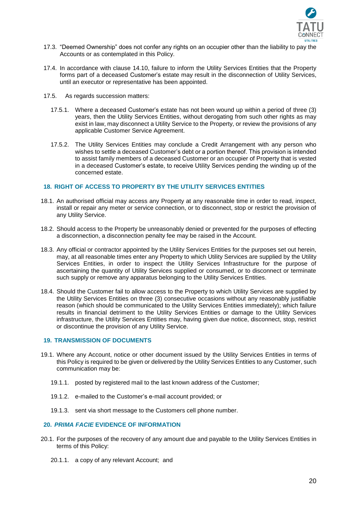

- <span id="page-19-3"></span>17.3. "Deemed Ownership" does not confer any rights on an occupier other than the liability to pay the Accounts or as contemplated in this Policy.
- 17.4. In accordance with clause [14.10,](#page-17-1) failure to inform the Utility Services Entities that the Property forms part of a deceased Customer's estate may result in the disconnection of Utility Services, until an executor or representative has been appointed.
- 17.5. As regards succession matters:
	- 17.5.1. Where a deceased Customer's estate has not been wound up within a period of three (3) years, then the Utility Services Entities, without derogating from such other rights as may exist in law, may disconnect a Utility Service to the Property, or review the provisions of any applicable Customer Service Agreement.
	- 17.5.2. The Utility Services Entities may conclude a Credit Arrangement with any person who wishes to settle a deceased Customer's debt or a portion thereof. This provision is intended to assist family members of a deceased Customer or an occupier of Property that is vested in a deceased Customer's estate, to receive Utility Services pending the winding up of the concerned estate.

## <span id="page-19-0"></span>**18. RIGHT OF ACCESS TO PROPERTY BY THE UTILITY SERVICES ENTITIES**

- 18.1. An authorised official may access any Property at any reasonable time in order to read, inspect, install or repair any meter or service connection, or to disconnect, stop or restrict the provision of any Utility Service.
- 18.2. Should access to the Property be unreasonably denied or prevented for the purposes of effecting a disconnection, a disconnection penalty fee may be raised in the Account.
- 18.3. Any official or contractor appointed by the Utility Services Entities for the purposes set out herein, may, at all reasonable times enter any Property to which Utility Services are supplied by the Utility Services Entities, in order to inspect the Utility Services Infrastructure for the purpose of ascertaining the quantity of Utility Services supplied or consumed, or to disconnect or terminate such supply or remove any apparatus belonging to the Utility Services Entities.
- 18.4. Should the Customer fail to allow access to the Property to which Utility Services are supplied by the Utility Services Entities on three (3) consecutive occasions without any reasonably justifiable reason (which should be communicated to the Utility Services Entities immediately); which failure results in financial detriment to the Utility Services Entities or damage to the Utility Services infrastructure, the Utility Services Entities may, having given due notice, disconnect, stop, restrict or discontinue the provision of any Utility Service.

## <span id="page-19-1"></span>**19. TRANSMISSION OF DOCUMENTS**

- 19.1. Where any Account, notice or other document issued by the Utility Services Entities in terms of this Policy is required to be given or delivered by the Utility Services Entities to any Customer, such communication may be:
	- 19.1.1. posted by registered mail to the last known address of the Customer;
	- 19.1.2. e-mailed to the Customer's e-mail account provided; or
	- 19.1.3. sent via short message to the Customers cell phone number.

# <span id="page-19-2"></span>**20.** *PRIMA FACIE* **EVIDENCE OF INFORMATION**

- 20.1. For the purposes of the recovery of any amount due and payable to the Utility Services Entities in terms of this Policy:
	- 20.1.1. a copy of any relevant Account; and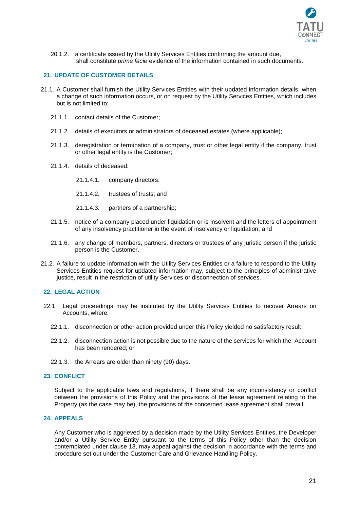

20.1.2. a certificate issued by the Utility Services Entities confirming the amount due, shall constitute *prima facie* evidence of the information contained in such documents.

## <span id="page-20-0"></span>**21. UPDATE OF CUSTOMER DETAILS**

- 21.1. A Customer shall furnish the Utility Services Entities with their updated information details when a change of such information occurs, or on request by the Utility Services Entities, which includes but is not limited to:
	- 21.1.1. contact details of the Customer;
	- 21.1.2. details of executors or administrators of deceased estates (where applicable);
	- 21.1.3. deregistration or termination of a company, trust or other legal entity if the company, trust or other legal entity is the Customer;
	- 21.1.4. details of deceased:
		- 21.1.4.1. company directors;
		- 21.1.4.2. trustees of trusts; and
		- 21.1.4.3. partners of a partnership;
	- 21.1.5. notice of a company placed under liquidation or is insolvent and the letters of appointment of any insolvency practitioner in the event of insolvency or liquidation; and
	- 21.1.6. any change of members, partners, directors or trustees of any juristic person if the juristic person is the Customer.
- 21.2. A failure to update information with the Utility Services Entities or a failure to respond to the Utility Services Entities request for updated information may, subject to the principles of administrative justice, result in the restriction of utility Services or disconnection of services.

# <span id="page-20-1"></span>**22. LEGAL ACTION**

- 22.1. Legal proceedings may be instituted by the Utility Services Entities to recover Arrears on Accounts, where:
	- 22.1.1. disconnection or other action provided under this Policy yielded no satisfactory result;
	- 22.1.2. disconnection action is not possible due to the nature of the services for which the Account has been rendered; or
	- 22.1.3. the Arrears are older than ninety (90) days.

## <span id="page-20-2"></span>**23. CONFLICT**

Subject to the applicable laws and regulations, if there shall be any inconsistency or conflict between the provisions of this Policy and the provisions of the lease agreement relating to the Property (as the case may be), the provisions of the concerned lease agreement shall prevail.

# <span id="page-20-3"></span>**24. APPEALS**

Any Customer who is aggrieved by a decision made by the Utility Services Entities, the Developer and/or a Utility Service Entity pursuant to the terms of this Policy other than the decision contemplated under clause [13,](#page-15-3) may appeal against the decision in accordance with the terms and procedure set out under the Customer Care and Grievance Handling Policy.